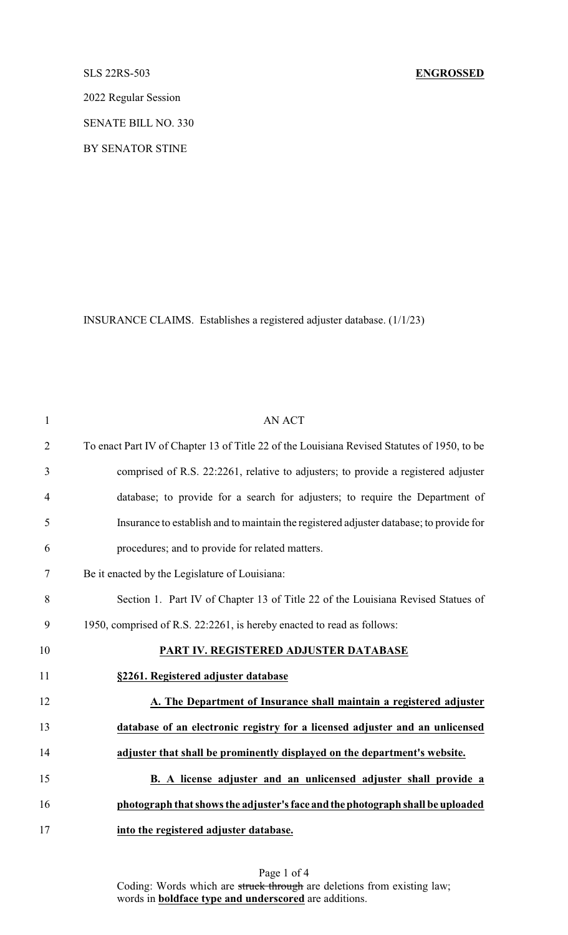### SLS 22RS-503 **ENGROSSED**

2022 Regular Session

SENATE BILL NO. 330

BY SENATOR STINE

INSURANCE CLAIMS. Establishes a registered adjuster database. (1/1/23)

| $\mathbf{1}$   | <b>AN ACT</b>                                                                               |
|----------------|---------------------------------------------------------------------------------------------|
| $\overline{2}$ | To enact Part IV of Chapter 13 of Title 22 of the Louisiana Revised Statutes of 1950, to be |
| 3              | comprised of R.S. 22:2261, relative to adjusters; to provide a registered adjuster          |
| $\overline{4}$ | database; to provide for a search for adjusters; to require the Department of               |
| 5              | Insurance to establish and to maintain the registered adjuster database; to provide for     |
| 6              | procedures; and to provide for related matters.                                             |
| $\tau$         | Be it enacted by the Legislature of Louisiana:                                              |
| 8              | Section 1. Part IV of Chapter 13 of Title 22 of the Louisiana Revised Statues of            |
| 9              | 1950, comprised of R.S. 22:2261, is hereby enacted to read as follows:                      |
| 10             | PART IV. REGISTERED ADJUSTER DATABASE                                                       |
| 11             | §2261. Registered adjuster database                                                         |
| 12             | A. The Department of Insurance shall maintain a registered adjuster                         |
| 13             | database of an electronic registry for a licensed adjuster and an unlicensed                |
| 14             | adjuster that shall be prominently displayed on the department's website.                   |
| 15             | B. A license adjuster and an unlicensed adjuster shall provide a                            |
| 16             | photograph that shows the adjuster's face and the photograph shall be uploaded              |
| 17             | into the registered adjuster database.                                                      |

Page 1 of 4 Coding: Words which are struck through are deletions from existing law; words in **boldface type and underscored** are additions.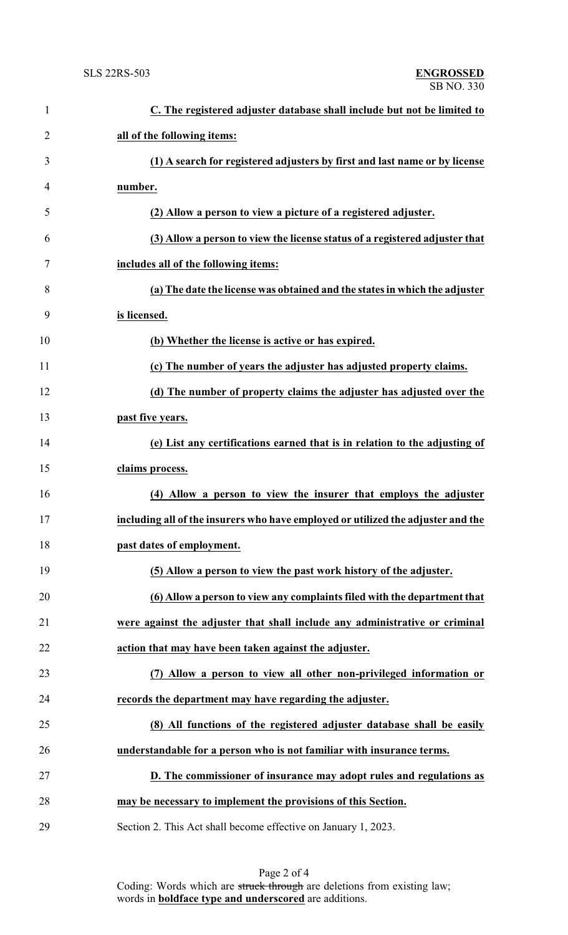| $\mathbf{1}$   | C. The registered adjuster database shall include but not be limited to          |
|----------------|----------------------------------------------------------------------------------|
| $\overline{2}$ | all of the following items:                                                      |
| 3              | (1) A search for registered adjusters by first and last name or by license       |
| 4              | number.                                                                          |
| 5              | (2) Allow a person to view a picture of a registered adjuster.                   |
| 6              | (3) Allow a person to view the license status of a registered adjuster that      |
| 7              | includes all of the following items:                                             |
| 8              | (a) The date the license was obtained and the states in which the adjuster       |
| 9              | is licensed.                                                                     |
| 10             | (b) Whether the license is active or has expired.                                |
| 11             | (c) The number of years the adjuster has adjusted property claims.               |
| 12             | (d) The number of property claims the adjuster has adjusted over the             |
| 13             | past five years.                                                                 |
| 14             | (e) List any certifications earned that is in relation to the adjusting of       |
| 15             | claims process.                                                                  |
| 16             | (4) Allow a person to view the insurer that employs the adjuster                 |
| 17             | including all of the insurers who have employed or utilized the adjuster and the |
| 18             | past dates of employment.                                                        |
| 19             | (5) Allow a person to view the past work history of the adjuster.                |
| 20             | (6) Allow a person to view any complaints filed with the department that         |
| 21             | were against the adjuster that shall include any administrative or criminal      |
| 22             | action that may have been taken against the adjuster.                            |
| 23             | (7) Allow a person to view all other non-privileged information or               |
| 24             | records the department may have regarding the adjuster.                          |
| 25             | (8) All functions of the registered adjuster database shall be easily            |
| 26             | understandable for a person who is not familiar with insurance terms.            |
| 27             | D. The commissioner of insurance may adopt rules and regulations as              |
| 28             | may be necessary to implement the provisions of this Section.                    |
| 29             | Section 2. This Act shall become effective on January 1, 2023.                   |

Page 2 of 4 Coding: Words which are struck through are deletions from existing law; words in **boldface type and underscored** are additions.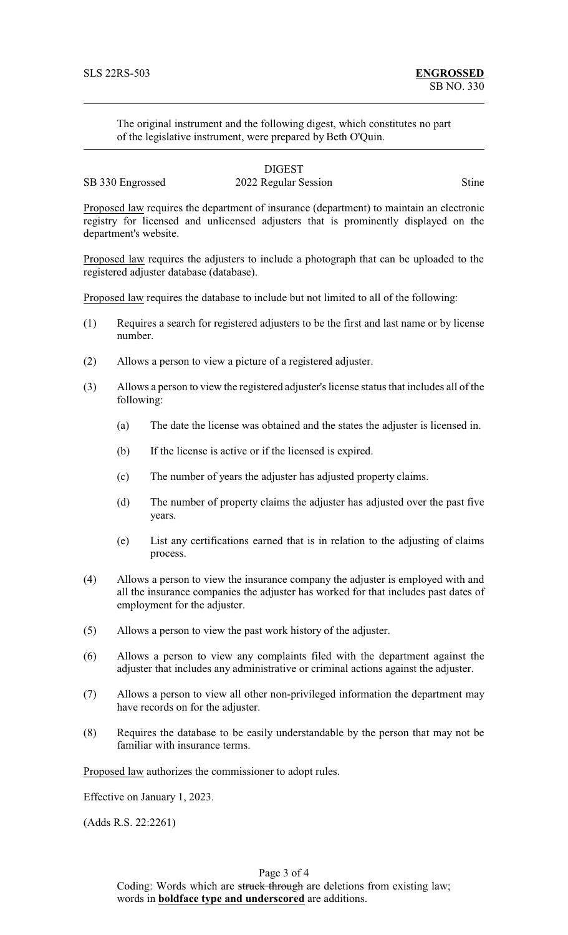The original instrument and the following digest, which constitutes no part of the legislative instrument, were prepared by Beth O'Quin.

DIGEST SB 330 Engrossed 2022 Regular Session Stine

Proposed law requires the department of insurance (department) to maintain an electronic registry for licensed and unlicensed adjusters that is prominently displayed on the department's website.

Proposed law requires the adjusters to include a photograph that can be uploaded to the registered adjuster database (database).

Proposed law requires the database to include but not limited to all of the following:

- (1) Requires a search for registered adjusters to be the first and last name or by license number.
- (2) Allows a person to view a picture of a registered adjuster.
- (3) Allows a person to view the registered adjuster's license status that includes all of the following:
	- (a) The date the license was obtained and the states the adjuster is licensed in.
	- (b) If the license is active or if the licensed is expired.
	- (c) The number of years the adjuster has adjusted property claims.
	- (d) The number of property claims the adjuster has adjusted over the past five years.
	- (e) List any certifications earned that is in relation to the adjusting of claims process.
- (4) Allows a person to view the insurance company the adjuster is employed with and all the insurance companies the adjuster has worked for that includes past dates of employment for the adjuster.
- (5) Allows a person to view the past work history of the adjuster.
- (6) Allows a person to view any complaints filed with the department against the adjuster that includes any administrative or criminal actions against the adjuster.
- (7) Allows a person to view all other non-privileged information the department may have records on for the adjuster.
- (8) Requires the database to be easily understandable by the person that may not be familiar with insurance terms.

Proposed law authorizes the commissioner to adopt rules.

Effective on January 1, 2023.

(Adds R.S. 22:2261)